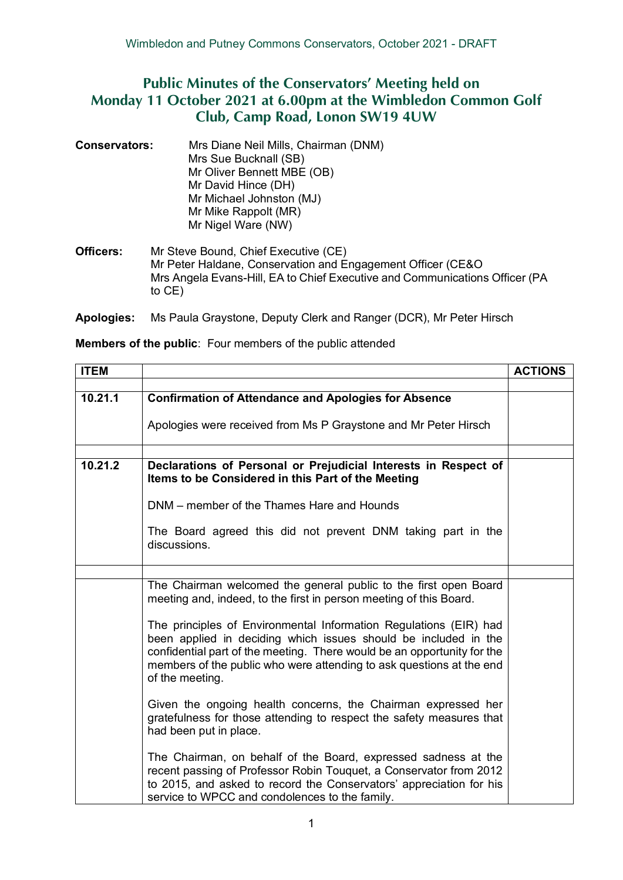## **Public Minutes of the Conservators' Meeting held on Monday 11 October 2021 at 6.00pm at the Wimbledon Common Golf Club, Camp Road, Lonon SW19 4UW**

**Conservators:** Mrs Diane Neil Mills, Chairman (DNM) Mrs Sue Bucknall (SB) Mr Oliver Bennett MBE (OB) Mr David Hince (DH) Mr Michael Johnston (MJ) Mr Mike Rappolt (MR) Mr Nigel Ware (NW)

**Officers:** Mr Steve Bound, Chief Executive (CE) Mr Peter Haldane, Conservation and Engagement Officer (CE&O Mrs Angela Evans-Hill, EA to Chief Executive and Communications Officer (PA to CE)

**Apologies:** Ms Paula Graystone, Deputy Clerk and Ranger (DCR), Mr Peter Hirsch

| <b>Members of the public:</b> Four members of the public attended |
|-------------------------------------------------------------------|
|                                                                   |

| <b>ITEM</b> |                                                                                                                                                                                                                                                                                                            | <b>ACTIONS</b> |
|-------------|------------------------------------------------------------------------------------------------------------------------------------------------------------------------------------------------------------------------------------------------------------------------------------------------------------|----------------|
|             |                                                                                                                                                                                                                                                                                                            |                |
| 10.21.1     | <b>Confirmation of Attendance and Apologies for Absence</b>                                                                                                                                                                                                                                                |                |
|             | Apologies were received from Ms P Graystone and Mr Peter Hirsch                                                                                                                                                                                                                                            |                |
|             |                                                                                                                                                                                                                                                                                                            |                |
| 10.21.2     | Declarations of Personal or Prejudicial Interests in Respect of<br>Items to be Considered in this Part of the Meeting                                                                                                                                                                                      |                |
|             | DNM – member of the Thames Hare and Hounds                                                                                                                                                                                                                                                                 |                |
|             | The Board agreed this did not prevent DNM taking part in the<br>discussions.                                                                                                                                                                                                                               |                |
|             |                                                                                                                                                                                                                                                                                                            |                |
|             | The Chairman welcomed the general public to the first open Board<br>meeting and, indeed, to the first in person meeting of this Board.                                                                                                                                                                     |                |
|             | The principles of Environmental Information Regulations (EIR) had<br>been applied in deciding which issues should be included in the<br>confidential part of the meeting. There would be an opportunity for the<br>members of the public who were attending to ask questions at the end<br>of the meeting. |                |
|             | Given the ongoing health concerns, the Chairman expressed her<br>gratefulness for those attending to respect the safety measures that<br>had been put in place.                                                                                                                                            |                |
|             | The Chairman, on behalf of the Board, expressed sadness at the<br>recent passing of Professor Robin Touquet, a Conservator from 2012<br>to 2015, and asked to record the Conservators' appreciation for his<br>service to WPCC and condolences to the family.                                              |                |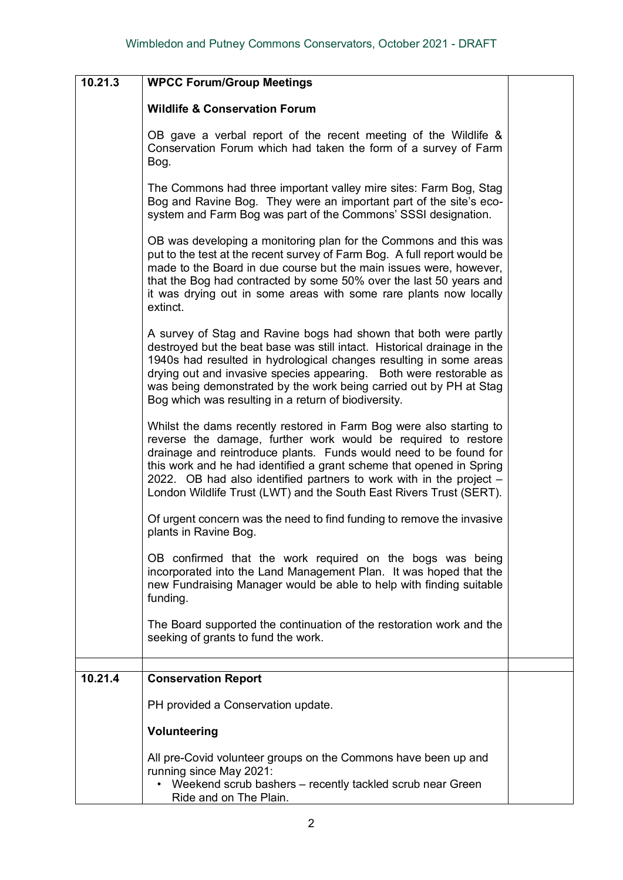| 10.21.3 | <b>WPCC Forum/Group Meetings</b>                                                                                                                                                                                                                                                                                                                                                                                                |  |
|---------|---------------------------------------------------------------------------------------------------------------------------------------------------------------------------------------------------------------------------------------------------------------------------------------------------------------------------------------------------------------------------------------------------------------------------------|--|
|         |                                                                                                                                                                                                                                                                                                                                                                                                                                 |  |
|         | <b>Wildlife &amp; Conservation Forum</b>                                                                                                                                                                                                                                                                                                                                                                                        |  |
|         | OB gave a verbal report of the recent meeting of the Wildlife &<br>Conservation Forum which had taken the form of a survey of Farm<br>Bog.                                                                                                                                                                                                                                                                                      |  |
|         | The Commons had three important valley mire sites: Farm Bog, Stag<br>Bog and Ravine Bog. They were an important part of the site's eco-<br>system and Farm Bog was part of the Commons' SSSI designation.                                                                                                                                                                                                                       |  |
|         | OB was developing a monitoring plan for the Commons and this was<br>put to the test at the recent survey of Farm Bog. A full report would be<br>made to the Board in due course but the main issues were, however,<br>that the Bog had contracted by some 50% over the last 50 years and<br>it was drying out in some areas with some rare plants now locally<br>extinct.                                                       |  |
|         | A survey of Stag and Ravine bogs had shown that both were partly<br>destroyed but the beat base was still intact. Historical drainage in the<br>1940s had resulted in hydrological changes resulting in some areas<br>drying out and invasive species appearing. Both were restorable as<br>was being demonstrated by the work being carried out by PH at Stag<br>Bog which was resulting in a return of biodiversity.          |  |
|         | Whilst the dams recently restored in Farm Bog were also starting to<br>reverse the damage, further work would be required to restore<br>drainage and reintroduce plants. Funds would need to be found for<br>this work and he had identified a grant scheme that opened in Spring<br>2022. OB had also identified partners to work with in the project -<br>London Wildlife Trust (LWT) and the South East Rivers Trust (SERT). |  |
|         | Of urgent concern was the need to find funding to remove the invasive<br>plants in Ravine Bog.                                                                                                                                                                                                                                                                                                                                  |  |
|         | OB confirmed that the work required on the bogs was being<br>incorporated into the Land Management Plan. It was hoped that the<br>new Fundraising Manager would be able to help with finding suitable<br>funding.                                                                                                                                                                                                               |  |
|         | The Board supported the continuation of the restoration work and the<br>seeking of grants to fund the work.                                                                                                                                                                                                                                                                                                                     |  |
|         |                                                                                                                                                                                                                                                                                                                                                                                                                                 |  |
| 10.21.4 | <b>Conservation Report</b>                                                                                                                                                                                                                                                                                                                                                                                                      |  |
|         | PH provided a Conservation update.                                                                                                                                                                                                                                                                                                                                                                                              |  |
|         | Volunteering                                                                                                                                                                                                                                                                                                                                                                                                                    |  |
|         | All pre-Covid volunteer groups on the Commons have been up and<br>running since May 2021:<br>• Weekend scrub bashers - recently tackled scrub near Green<br>Ride and on The Plain.                                                                                                                                                                                                                                              |  |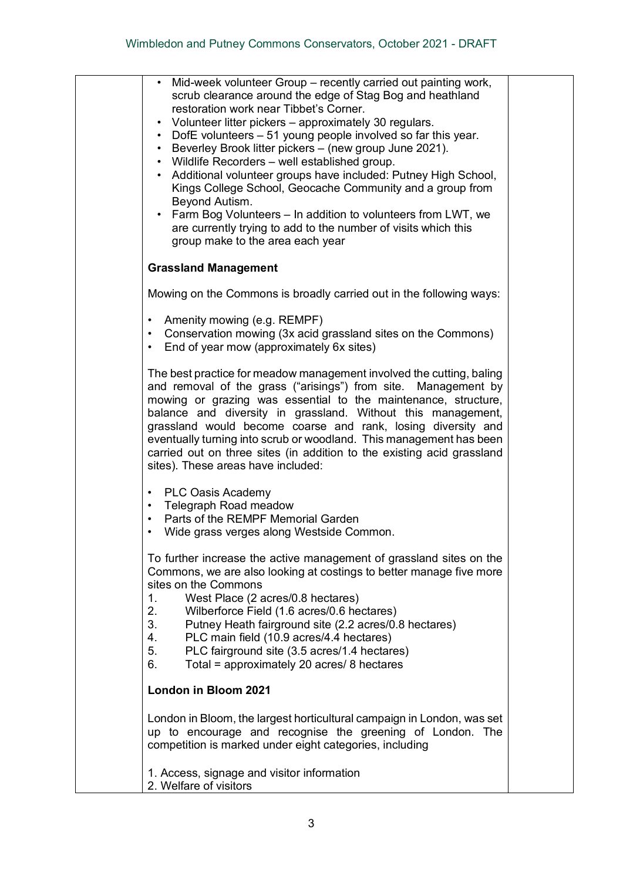| Mid-week volunteer Group – recently carried out painting work,<br>$\bullet$<br>scrub clearance around the edge of Stag Bog and heathland<br>restoration work near Tibbet's Corner.<br>Volunteer litter pickers – approximately 30 regulars.<br>$\bullet$<br>• DofE volunteers - 51 young people involved so far this year.<br>• Beverley Brook litter pickers - (new group June 2021).<br>• Wildlife Recorders - well established group.<br>• Additional volunteer groups have included: Putney High School,<br>Kings College School, Geocache Community and a group from<br>Beyond Autism.<br>Farm Bog Volunteers – In addition to volunteers from LWT, we<br>$\bullet$<br>are currently trying to add to the number of visits which this<br>group make to the area each year |  |
|--------------------------------------------------------------------------------------------------------------------------------------------------------------------------------------------------------------------------------------------------------------------------------------------------------------------------------------------------------------------------------------------------------------------------------------------------------------------------------------------------------------------------------------------------------------------------------------------------------------------------------------------------------------------------------------------------------------------------------------------------------------------------------|--|
| <b>Grassland Management</b>                                                                                                                                                                                                                                                                                                                                                                                                                                                                                                                                                                                                                                                                                                                                                    |  |
| Mowing on the Commons is broadly carried out in the following ways:                                                                                                                                                                                                                                                                                                                                                                                                                                                                                                                                                                                                                                                                                                            |  |
| • Amenity mowing (e.g. REMPF)<br>• Conservation mowing (3x acid grassland sites on the Commons)<br>End of year mow (approximately 6x sites)<br>$\bullet$                                                                                                                                                                                                                                                                                                                                                                                                                                                                                                                                                                                                                       |  |
| The best practice for meadow management involved the cutting, baling<br>and removal of the grass ("arisings") from site. Management by<br>mowing or grazing was essential to the maintenance, structure,<br>balance and diversity in grassland. Without this management,<br>grassland would become coarse and rank, losing diversity and<br>eventually turning into scrub or woodland. This management has been<br>carried out on three sites (in addition to the existing acid grassland<br>sites). These areas have included:                                                                                                                                                                                                                                                |  |
| • PLC Oasis Academy<br>• Telegraph Road meadow<br>Parts of the REMPF Memorial Garden<br>Wide grass verges along Westside Common.                                                                                                                                                                                                                                                                                                                                                                                                                                                                                                                                                                                                                                               |  |
| To further increase the active management of grassland sites on the<br>Commons, we are also looking at costings to better manage five more<br>sites on the Commons<br>West Place (2 acres/0.8 hectares)<br>1.<br>2.<br>Wilberforce Field (1.6 acres/0.6 hectares)<br>3.<br>Putney Heath fairground site (2.2 acres/0.8 hectares)<br>PLC main field (10.9 acres/4.4 hectares)<br>4.<br>5.<br>PLC fairground site (3.5 acres/1.4 hectares)<br>Total = approximately 20 acres/ 8 hectares<br>6.                                                                                                                                                                                                                                                                                   |  |
| London in Bloom 2021                                                                                                                                                                                                                                                                                                                                                                                                                                                                                                                                                                                                                                                                                                                                                           |  |
| London in Bloom, the largest horticultural campaign in London, was set<br>up to encourage and recognise the greening of London. The<br>competition is marked under eight categories, including                                                                                                                                                                                                                                                                                                                                                                                                                                                                                                                                                                                 |  |
| 1. Access, signage and visitor information<br>2. Welfare of visitors                                                                                                                                                                                                                                                                                                                                                                                                                                                                                                                                                                                                                                                                                                           |  |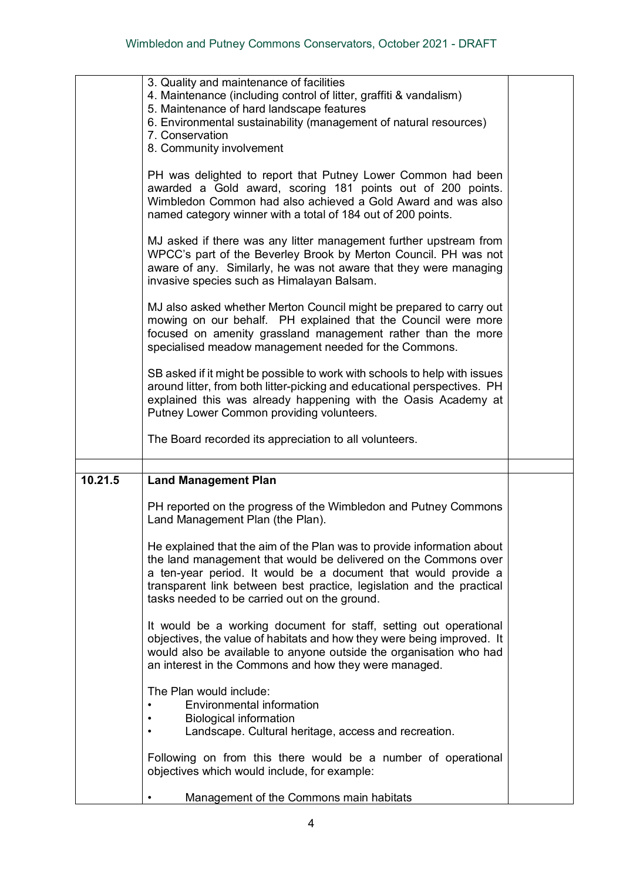|         | 3. Quality and maintenance of facilities<br>4. Maintenance (including control of litter, graffiti & vandalism)<br>5. Maintenance of hard landscape features<br>6. Environmental sustainability (management of natural resources)<br>7. Conservation<br>8. Community involvement      |  |
|---------|--------------------------------------------------------------------------------------------------------------------------------------------------------------------------------------------------------------------------------------------------------------------------------------|--|
|         | PH was delighted to report that Putney Lower Common had been<br>awarded a Gold award, scoring 181 points out of 200 points.<br>Wimbledon Common had also achieved a Gold Award and was also<br>named category winner with a total of 184 out of 200 points.                          |  |
|         | MJ asked if there was any litter management further upstream from<br>WPCC's part of the Beverley Brook by Merton Council. PH was not<br>aware of any. Similarly, he was not aware that they were managing<br>invasive species such as Himalayan Balsam.                              |  |
|         | MJ also asked whether Merton Council might be prepared to carry out<br>mowing on our behalf. PH explained that the Council were more<br>focused on amenity grassland management rather than the more<br>specialised meadow management needed for the Commons.                        |  |
|         | SB asked if it might be possible to work with schools to help with issues<br>around litter, from both litter-picking and educational perspectives. PH<br>explained this was already happening with the Oasis Academy at<br>Putney Lower Common providing volunteers.                 |  |
|         | The Board recorded its appreciation to all volunteers.                                                                                                                                                                                                                               |  |
|         |                                                                                                                                                                                                                                                                                      |  |
| 10.21.5 | <b>Land Management Plan</b>                                                                                                                                                                                                                                                          |  |
|         | PH reported on the progress of the Wimbledon and Putney Commons<br>Land Management Plan (the Plan).                                                                                                                                                                                  |  |
|         | He explained that the aim of the Plan was to provide information about<br>the land management that would be delivered on the Commons over<br>a ten-year period. It would be a document that would provide a<br>transparent link between best practice, legislation and the practical |  |
|         | tasks needed to be carried out on the ground.                                                                                                                                                                                                                                        |  |
|         | It would be a working document for staff, setting out operational<br>objectives, the value of habitats and how they were being improved. It<br>would also be available to anyone outside the organisation who had<br>an interest in the Commons and how they were managed.           |  |
|         | The Plan would include:<br>Environmental information<br><b>Biological information</b><br>Landscape. Cultural heritage, access and recreation.                                                                                                                                        |  |
|         | Following on from this there would be a number of operational<br>objectives which would include, for example:                                                                                                                                                                        |  |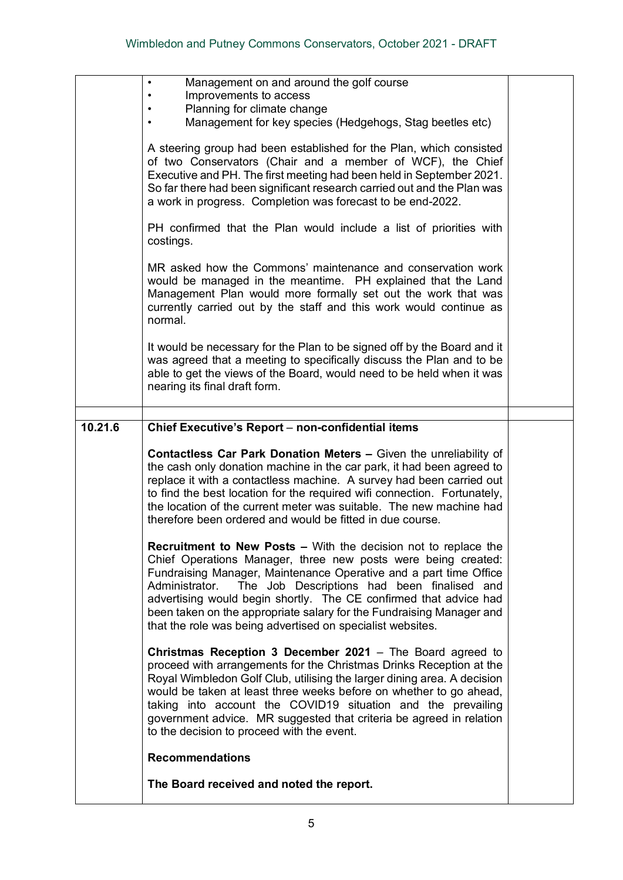| Management on and around the golf course<br>$\bullet$<br>Improvements to access<br>Planning for climate change<br>Management for key species (Hedgehogs, Stag beetles etc)                                                                                                                                                                                                                                                                                                               |  |
|------------------------------------------------------------------------------------------------------------------------------------------------------------------------------------------------------------------------------------------------------------------------------------------------------------------------------------------------------------------------------------------------------------------------------------------------------------------------------------------|--|
| A steering group had been established for the Plan, which consisted<br>of two Conservators (Chair and a member of WCF), the Chief<br>Executive and PH. The first meeting had been held in September 2021.<br>So far there had been significant research carried out and the Plan was<br>a work in progress. Completion was forecast to be end-2022.                                                                                                                                      |  |
| PH confirmed that the Plan would include a list of priorities with<br>costings.                                                                                                                                                                                                                                                                                                                                                                                                          |  |
| MR asked how the Commons' maintenance and conservation work<br>would be managed in the meantime. PH explained that the Land<br>Management Plan would more formally set out the work that was<br>currently carried out by the staff and this work would continue as<br>normal.                                                                                                                                                                                                            |  |
| It would be necessary for the Plan to be signed off by the Board and it<br>was agreed that a meeting to specifically discuss the Plan and to be<br>able to get the views of the Board, would need to be held when it was<br>nearing its final draft form.                                                                                                                                                                                                                                |  |
|                                                                                                                                                                                                                                                                                                                                                                                                                                                                                          |  |
| Chief Executive's Report – non-confidential items                                                                                                                                                                                                                                                                                                                                                                                                                                        |  |
| <b>Contactless Car Park Donation Meters - Given the unreliability of</b><br>the cash only donation machine in the car park, it had been agreed to<br>replace it with a contactless machine. A survey had been carried out<br>to find the best location for the required wifi connection. Fortunately,<br>the location of the current meter was suitable. The new machine had<br>therefore been ordered and would be fitted in due course.                                                |  |
| <b>Recruitment to New Posts –</b> With the decision not to replace the<br>Chief Operations Manager, three new posts were being created:<br>Fundraising Manager, Maintenance Operative and a part time Office<br>Administrator.<br>The Job Descriptions had been finalised and<br>advertising would begin shortly. The CE confirmed that advice had<br>been taken on the appropriate salary for the Fundraising Manager and<br>that the role was being advertised on specialist websites. |  |
| Christmas Reception 3 December 2021 - The Board agreed to<br>proceed with arrangements for the Christmas Drinks Reception at the<br>Royal Wimbledon Golf Club, utilising the larger dining area. A decision<br>would be taken at least three weeks before on whether to go ahead,<br>taking into account the COVID19 situation and the prevailing<br>government advice. MR suggested that criteria be agreed in relation<br>to the decision to proceed with the event.                   |  |
| <b>Recommendations</b>                                                                                                                                                                                                                                                                                                                                                                                                                                                                   |  |
|                                                                                                                                                                                                                                                                                                                                                                                                                                                                                          |  |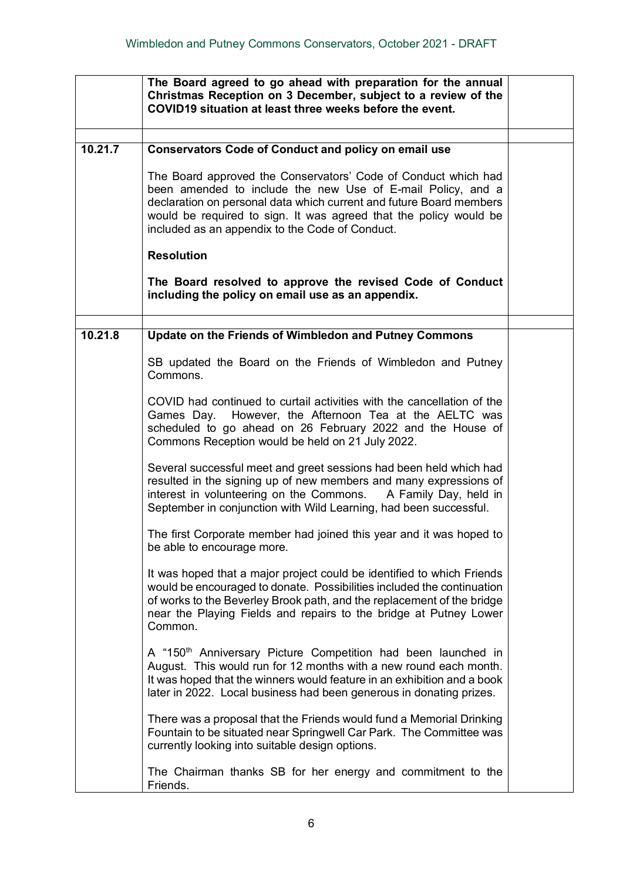|         | The Board agreed to go ahead with preparation for the annual<br>Christmas Reception on 3 December, subject to a review of the<br>COVID19 situation at least three weeks before the event.                                                                                                                                    |  |
|---------|------------------------------------------------------------------------------------------------------------------------------------------------------------------------------------------------------------------------------------------------------------------------------------------------------------------------------|--|
| 10.21.7 | <b>Conservators Code of Conduct and policy on email use</b>                                                                                                                                                                                                                                                                  |  |
|         | The Board approved the Conservators' Code of Conduct which had<br>been amended to include the new Use of E-mail Policy, and a<br>declaration on personal data which current and future Board members<br>would be required to sign. It was agreed that the policy would be<br>included as an appendix to the Code of Conduct. |  |
|         | <b>Resolution</b>                                                                                                                                                                                                                                                                                                            |  |
|         | The Board resolved to approve the revised Code of Conduct<br>including the policy on email use as an appendix.                                                                                                                                                                                                               |  |
| 10.21.8 |                                                                                                                                                                                                                                                                                                                              |  |
|         | Update on the Friends of Wimbledon and Putney Commons                                                                                                                                                                                                                                                                        |  |
|         | SB updated the Board on the Friends of Wimbledon and Putney<br>Commons.                                                                                                                                                                                                                                                      |  |
|         | COVID had continued to curtail activities with the cancellation of the<br>Games Day. However, the Afternoon Tea at the AELTC was<br>scheduled to go ahead on 26 February 2022 and the House of<br>Commons Reception would be held on 21 July 2022.                                                                           |  |
|         | Several successful meet and greet sessions had been held which had<br>resulted in the signing up of new members and many expressions of<br>interest in volunteering on the Commons.<br>A Family Day, held in<br>September in conjunction with Wild Learning, had been successful.                                            |  |
|         | The first Corporate member had joined this year and it was hoped to<br>be able to encourage more.                                                                                                                                                                                                                            |  |
|         | It was hoped that a major project could be identified to which Friends<br>would be encouraged to donate. Possibilities included the continuation<br>of works to the Beverley Brook path, and the replacement of the bridge<br>near the Playing Fields and repairs to the bridge at Putney Lower<br>Common.                   |  |
|         | A "150 <sup>th</sup> Anniversary Picture Competition had been launched in<br>August. This would run for 12 months with a new round each month.<br>It was hoped that the winners would feature in an exhibition and a book<br>later in 2022. Local business had been generous in donating prizes.                             |  |
|         | There was a proposal that the Friends would fund a Memorial Drinking<br>Fountain to be situated near Springwell Car Park. The Committee was<br>currently looking into suitable design options.                                                                                                                               |  |
|         | The Chairman thanks SB for her energy and commitment to the<br>Friends.                                                                                                                                                                                                                                                      |  |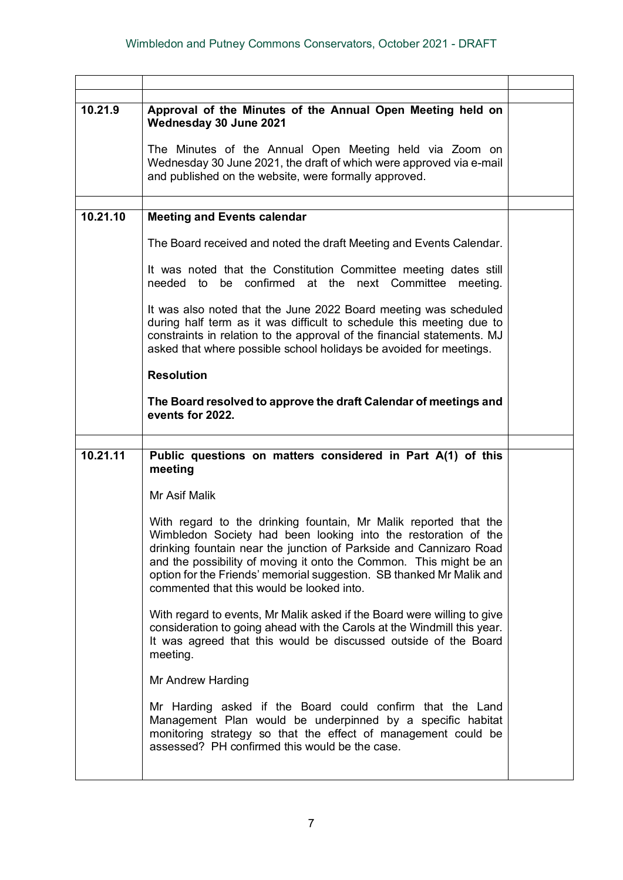| 10.21.9  | Approval of the Minutes of the Annual Open Meeting held on<br>Wednesday 30 June 2021                                                                                                                                                                                                                                                                                                                |  |
|----------|-----------------------------------------------------------------------------------------------------------------------------------------------------------------------------------------------------------------------------------------------------------------------------------------------------------------------------------------------------------------------------------------------------|--|
|          | The Minutes of the Annual Open Meeting held via Zoom on<br>Wednesday 30 June 2021, the draft of which were approved via e-mail<br>and published on the website, were formally approved.                                                                                                                                                                                                             |  |
|          |                                                                                                                                                                                                                                                                                                                                                                                                     |  |
| 10.21.10 | <b>Meeting and Events calendar</b>                                                                                                                                                                                                                                                                                                                                                                  |  |
|          | The Board received and noted the draft Meeting and Events Calendar.                                                                                                                                                                                                                                                                                                                                 |  |
|          | It was noted that the Constitution Committee meeting dates still<br>needed to be confirmed at the next Committee meeting.                                                                                                                                                                                                                                                                           |  |
|          | It was also noted that the June 2022 Board meeting was scheduled<br>during half term as it was difficult to schedule this meeting due to<br>constraints in relation to the approval of the financial statements. MJ<br>asked that where possible school holidays be avoided for meetings.                                                                                                           |  |
|          | <b>Resolution</b>                                                                                                                                                                                                                                                                                                                                                                                   |  |
|          | The Board resolved to approve the draft Calendar of meetings and<br>events for 2022.                                                                                                                                                                                                                                                                                                                |  |
|          |                                                                                                                                                                                                                                                                                                                                                                                                     |  |
| 10.21.11 | Public questions on matters considered in Part A(1) of this<br>meeting                                                                                                                                                                                                                                                                                                                              |  |
|          | Mr Asif Malik                                                                                                                                                                                                                                                                                                                                                                                       |  |
|          | With regard to the drinking fountain, Mr Malik reported that the<br>Wimbledon Society had been looking into the restoration of the<br>drinking fountain near the junction of Parkside and Cannizaro Road<br>and the possibility of moving it onto the Common. This might be an<br>option for the Friends' memorial suggestion. SB thanked Mr Malik and<br>commented that this would be looked into. |  |
|          | With regard to events, Mr Malik asked if the Board were willing to give<br>consideration to going ahead with the Carols at the Windmill this year.<br>It was agreed that this would be discussed outside of the Board<br>meeting.                                                                                                                                                                   |  |
|          | Mr Andrew Harding                                                                                                                                                                                                                                                                                                                                                                                   |  |
|          | Mr Harding asked if the Board could confirm that the Land<br>Management Plan would be underpinned by a specific habitat<br>monitoring strategy so that the effect of management could be<br>assessed? PH confirmed this would be the case.                                                                                                                                                          |  |
|          |                                                                                                                                                                                                                                                                                                                                                                                                     |  |